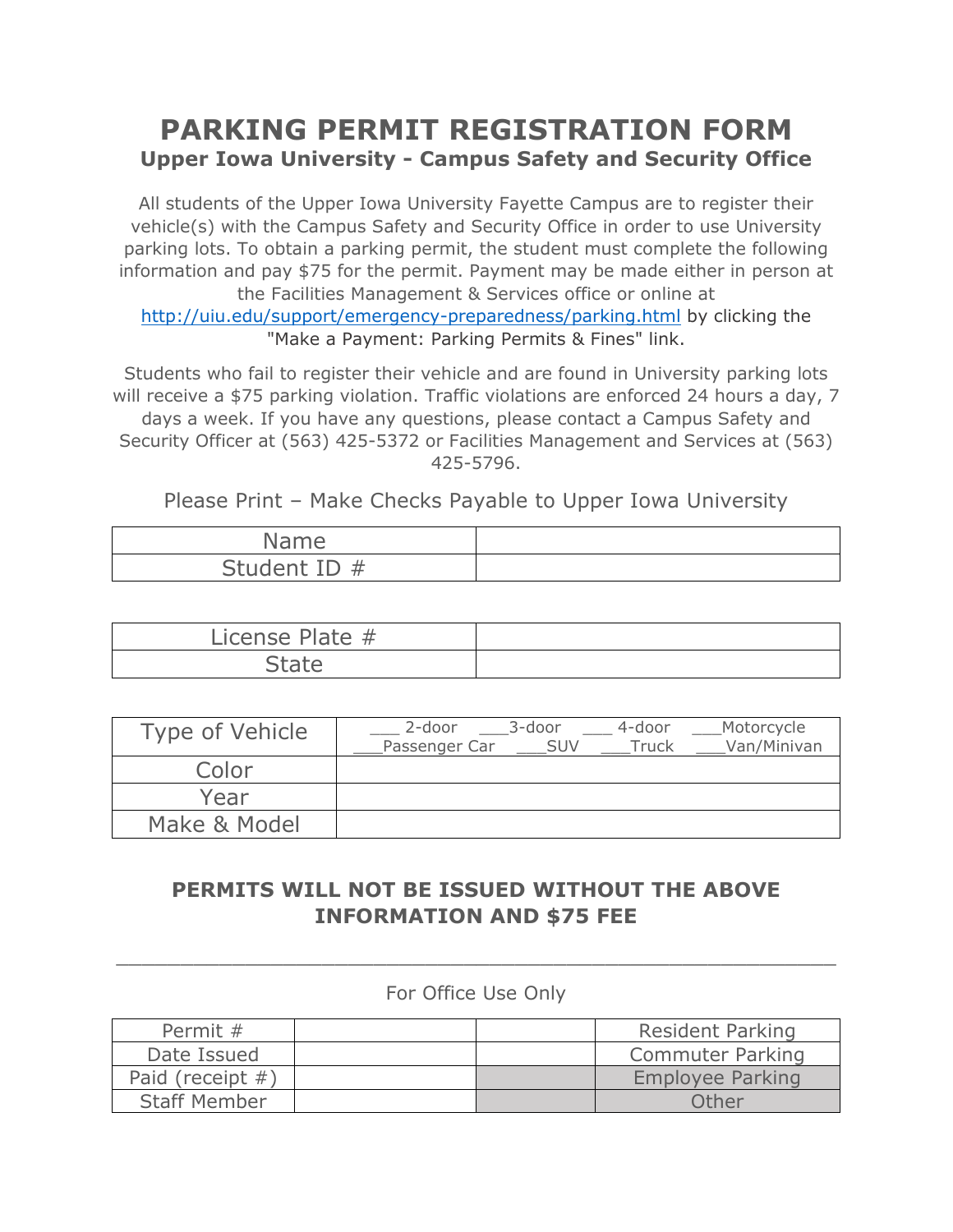## PARKING PERMIT REGISTRATION FORM Upper Iowa University - Campus Safety and Security Office

All students of the Upper Iowa University Fayette Campus are to register their vehicle(s) with the Campus Safety and Security Office in order to use University parking lots. To obtain a parking permit, the student must complete the following information and pay \$75 for the permit. Payment may be made either in person at the Facilities Management & Services office or online at http://uiu.edu/support/emergency-preparedness/parking.html by clicking the "Make a Payment: Parking Permits & Fines" link.

Students who fail to register their vehicle and are found in University parking lots will receive a \$75 parking violation. Traffic violations are enforced 24 hours a day, 7 days a week. If you have any questions, please contact a Campus Safety and Security Officer at (563) 425-5372 or Facilities Management and Services at (563) 425-5796.

Please Print – Make Checks Payable to Upper Iowa University

| Name         |  |
|--------------|--|
| Student ID # |  |

| License Plate # |  |
|-----------------|--|
| <b>PIII</b>     |  |

| Type of Vehicle | 2-door<br>Passenger Car | 3-door<br><b>SUV</b> | 4-door<br>Truck | Motorcycle<br>Van/Minivan |
|-----------------|-------------------------|----------------------|-----------------|---------------------------|
| Color           |                         |                      |                 |                           |
| Year            |                         |                      |                 |                           |
| Make & Model    |                         |                      |                 |                           |

## PERMITS WILL NOT BE ISSUED WITHOUT THE ABOVE INFORMATION AND \$75 FEE

## For Office Use Only

\_\_\_\_\_\_\_\_\_\_\_\_\_\_\_\_\_\_\_\_\_\_\_\_\_\_\_\_\_\_\_\_\_\_\_\_\_\_\_\_\_\_\_\_\_\_\_\_\_\_\_\_\_\_\_\_

| Permit #            |  | <b>Resident Parking</b> |
|---------------------|--|-------------------------|
| Date Issued         |  | <b>Commuter Parking</b> |
| Paid (receipt $#$ ) |  | Employee Parking        |
| <b>Staff Member</b> |  | Other                   |